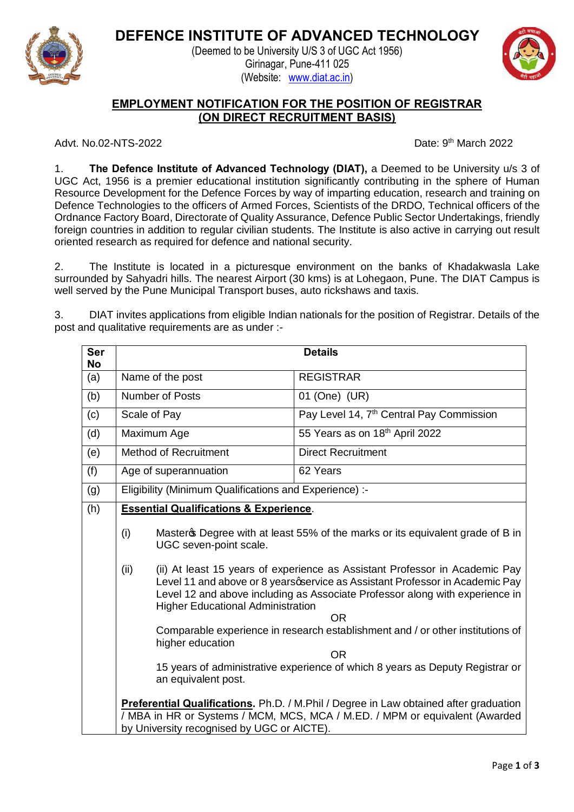

**DEFENCE INSTITUTE OF ADVANCED TECHNOLOGY** (Deemed to be University U/S 3 of UGC Act 1956)

> Girinagar, Pune-411 025 (Website: www.diat.ac.in)



## **EMPLOYMENT NOTIFICATION FOR THE POSITION OF REGISTRAR (ON DIRECT RECRUITMENT BASIS)**

Advt. No.02-NTS-2022 **Date: 9th March 2022** 

1. **The Defence Institute of Advanced Technology (DIAT),** a Deemed to be University u/s 3 of UGC Act, 1956 is a premier educational institution significantly contributing in the sphere of Human Resource Development for the Defence Forces by way of imparting education, research and training on Defence Technologies to the officers of Armed Forces, Scientists of the DRDO, Technical officers of the Ordnance Factory Board, Directorate of Quality Assurance, Defence Public Sector Undertakings, friendly foreign countries in addition to regular civilian students. The Institute is also active in carrying out result oriented research as required for defence and national security.

2. The Institute is located in a picturesque environment on the banks of Khadakwasla Lake surrounded by Sahyadri hills. The nearest Airport (30 kms) is at Lohegaon, Pune. The DIAT Campus is well served by the Pune Municipal Transport buses, auto rickshaws and taxis.

3. DIAT invites applications from eligible Indian nationals for the position of Registrar. Details of the post and qualitative requirements are as under :-

| Ser<br>No |                                                                                                                                                                                                                    |                                                                                                                                                                                                                                                                                                       | <b>Details</b>                                                                              |
|-----------|--------------------------------------------------------------------------------------------------------------------------------------------------------------------------------------------------------------------|-------------------------------------------------------------------------------------------------------------------------------------------------------------------------------------------------------------------------------------------------------------------------------------------------------|---------------------------------------------------------------------------------------------|
| (a)       |                                                                                                                                                                                                                    | Name of the post                                                                                                                                                                                                                                                                                      | <b>REGISTRAR</b>                                                                            |
| (b)       |                                                                                                                                                                                                                    | <b>Number of Posts</b>                                                                                                                                                                                                                                                                                | 01 (One) (UR)                                                                               |
| (c)       |                                                                                                                                                                                                                    | Scale of Pay                                                                                                                                                                                                                                                                                          | Pay Level 14, 7 <sup>th</sup> Central Pay Commission                                        |
| (d)       |                                                                                                                                                                                                                    | Maximum Age                                                                                                                                                                                                                                                                                           | 55 Years as on 18th April 2022                                                              |
| (e)       |                                                                                                                                                                                                                    | <b>Method of Recruitment</b>                                                                                                                                                                                                                                                                          | <b>Direct Recruitment</b>                                                                   |
| (f)       |                                                                                                                                                                                                                    | Age of superannuation                                                                                                                                                                                                                                                                                 | 62 Years                                                                                    |
| (g)       | Eligibility (Minimum Qualifications and Experience) :-                                                                                                                                                             |                                                                                                                                                                                                                                                                                                       |                                                                                             |
| (h)       | <b>Essential Qualifications &amp; Experience.</b>                                                                                                                                                                  |                                                                                                                                                                                                                                                                                                       |                                                                                             |
|           | (i)                                                                                                                                                                                                                | Masteros Degree with at least 55% of the marks or its equivalent grade of B in<br>UGC seven-point scale.                                                                                                                                                                                              |                                                                                             |
|           | (ii)                                                                                                                                                                                                               | (ii) At least 15 years of experience as Assistant Professor in Academic Pay<br>Level 11 and above or 8 years opervice as Assistant Professor in Academic Pay<br>Level 12 and above including as Associate Professor along with experience in<br><b>Higher Educational Administration</b><br><b>OR</b> |                                                                                             |
|           |                                                                                                                                                                                                                    | higher education                                                                                                                                                                                                                                                                                      | Comparable experience in research establishment and / or other institutions of<br><b>OR</b> |
|           |                                                                                                                                                                                                                    | an equivalent post.                                                                                                                                                                                                                                                                                   | 15 years of administrative experience of which 8 years as Deputy Registrar or               |
|           | Preferential Qualifications. Ph.D. / M.Phil / Degree in Law obtained after graduation<br>/ MBA in HR or Systems / MCM, MCS, MCA / M.ED. / MPM or equivalent (Awarded<br>by University recognised by UGC or AICTE). |                                                                                                                                                                                                                                                                                                       |                                                                                             |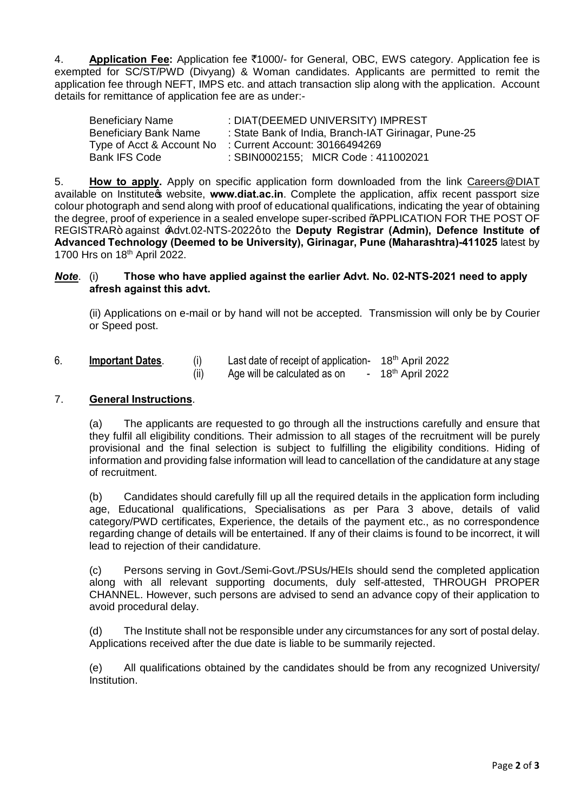4. **Application Fee:** Application fee `1000/- for General, OBC, EWS category. Application fee is exempted for SC/ST/PWD (Divyang) & Woman candidates. Applicants are permitted to remit the application fee through NEFT, IMPS etc. and attach transaction slip along with the application. Account details for remittance of application fee are as under:-

| Beneficiary Name          | : DIAT(DEEMED UNIVERSITY) IMPREST                    |
|---------------------------|------------------------------------------------------|
| Beneficiary Bank Name     | : State Bank of India, Branch-IAT Girinagar, Pune-25 |
| Type of Acct & Account No | : Current Account: 30166494269                       |
| Bank IFS Code             | : SBIN0002155; MICR Code: 411002021                  |

5. **How to apply.** Apply on specific application form downloaded from the link Careers@DIAT available on Institute<sub>s</sub> website, www.diat.ac.in. Complete the application, affix recent passport size colour photograph and send along with proof of educational qualifications, indicating the year of obtaining the degree, proof of experience in a sealed envelope super-scribed %PPLICATION FOR THE POST OF REGISTRAR+ against  $Advt.02$ -NTS-2022g to the **Deputy Registrar (Admin), Defence Institute of Advanced Technology (Deemed to be University), Girinagar, Pune (Maharashtra)-411025** latest by 1700 Hrs on 18th April 2022.

## *Note*. (i) **Those who have applied against the earlier Advt. No. 02-NTS-2021 need to apply afresh against this advt.**

(ii) Applications on e-mail or by hand will not be accepted. Transmission will only be by Courier or Speed post.

6. **Important Dates**. (i) Last date of receipt of application- 18th April 2022  $(iii)$  Age will be calculated as on  $-18^{th}$  April 2022

## 7. **General Instructions**.

(a) The applicants are requested to go through all the instructions carefully and ensure that they fulfil all eligibility conditions. Their admission to all stages of the recruitment will be purely provisional and the final selection is subject to fulfilling the eligibility conditions. Hiding of information and providing false information will lead to cancellation of the candidature at any stage of recruitment.

(b) Candidates should carefully fill up all the required details in the application form including age, Educational qualifications, Specialisations as per Para 3 above, details of valid category/PWD certificates, Experience, the details of the payment etc., as no correspondence regarding change of details will be entertained. If any of their claims is found to be incorrect, it will lead to rejection of their candidature.

(c) Persons serving in Govt./Semi-Govt./PSUs/HEIs should send the completed application along with all relevant supporting documents, duly self-attested, THROUGH PROPER CHANNEL. However, such persons are advised to send an advance copy of their application to avoid procedural delay.

(d) The Institute shall not be responsible under any circumstances for any sort of postal delay. Applications received after the due date is liable to be summarily rejected.

(e) All qualifications obtained by the candidates should be from any recognized University/ Institution.